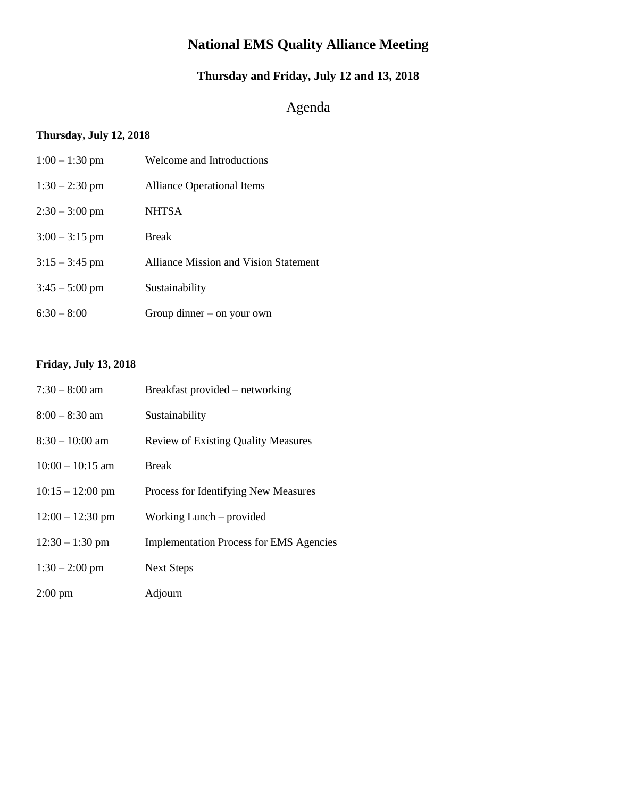# **National EMS Quality Alliance Meeting**

# **Thursday and Friday, July 12 and 13, 2018**

# Agenda

# **Thursday, July 12, 2018**

| $1:00 - 1:30$ pm | Welcome and Introductions                    |
|------------------|----------------------------------------------|
| $1:30 - 2:30$ pm | <b>Alliance Operational Items</b>            |
| $2:30 - 3:00$ pm | <b>NHTSA</b>                                 |
| $3:00 - 3:15$ pm | <b>Break</b>                                 |
| $3:15 - 3:45$ pm | <b>Alliance Mission and Vision Statement</b> |
| $3:45 - 5:00$ pm | Sustainability                               |
| $6:30 - 8:00$    | Group dinner $-$ on your own                 |

# **Friday, July 13, 2018**

| $7:30 - 8:00$ am           | Breakfast provided – networking                |
|----------------------------|------------------------------------------------|
| $8:00 - 8:30$ am           | Sustainability                                 |
| $8:30 - 10:00$ am          | <b>Review of Existing Quality Measures</b>     |
| $10:00 - 10:15$ am         | <b>Break</b>                                   |
| $10:15 - 12:00 \text{ pm}$ | Process for Identifying New Measures           |
| $12:00 - 12:30$ pm         | Working Lunch – provided                       |
| $12:30 - 1:30$ pm          | <b>Implementation Process for EMS Agencies</b> |
| $1:30 - 2:00$ pm           | <b>Next Steps</b>                              |
| $2:00 \text{ pm}$          | Adjourn                                        |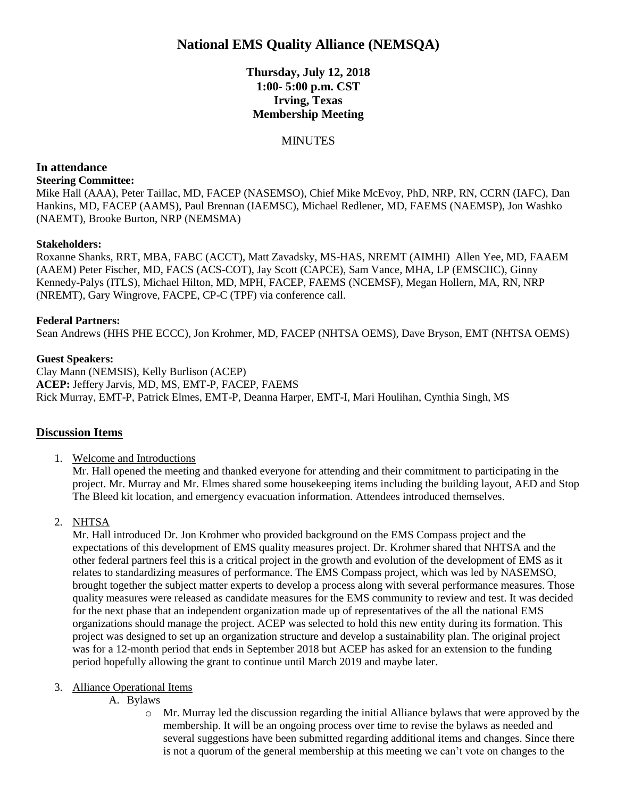# **National EMS Quality Alliance (NEMSQA)**

**Thursday, July 12, 2018 1:00- 5:00 p.m. CST Irving, Texas Membership Meeting** 

## **MINUTES**

# **In attendance**

#### **Steering Committee:**

Mike Hall (AAA), Peter Taillac, MD, FACEP (NASEMSO), Chief Mike McEvoy, PhD, NRP, RN, CCRN (IAFC), Dan Hankins, MD, FACEP (AAMS), Paul Brennan (IAEMSC), Michael Redlener, MD, FAEMS (NAEMSP), Jon Washko (NAEMT), Brooke Burton, NRP (NEMSMA)

### **Stakeholders:**

Roxanne Shanks, RRT, MBA, FABC (ACCT), Matt Zavadsky, MS-HAS, NREMT (AIMHI) Allen Yee, MD, FAAEM (AAEM) Peter Fischer, MD, FACS (ACS-COT), Jay Scott (CAPCE), Sam Vance, MHA, LP (EMSCIIC), Ginny Kennedy-Palys (ITLS), Michael Hilton, MD, MPH, FACEP, FAEMS (NCEMSF), Megan Hollern, MA, RN, NRP (NREMT), Gary Wingrove, FACPE, CP-C (TPF) via conference call.

### **Federal Partners:**

Sean Andrews (HHS PHE ECCC), Jon Krohmer, MD, FACEP (NHTSA OEMS), Dave Bryson, EMT (NHTSA OEMS)

## **Guest Speakers:**

Clay Mann (NEMSIS), Kelly Burlison (ACEP) **ACEP:** Jeffery Jarvis, MD, MS, EMT-P, FACEP, FAEMS Rick Murray, EMT-P, Patrick Elmes, EMT-P, Deanna Harper, EMT-I, Mari Houlihan, Cynthia Singh, MS

# **Discussion Items**

1. Welcome and Introductions

Mr. Hall opened the meeting and thanked everyone for attending and their commitment to participating in the project. Mr. Murray and Mr. Elmes shared some housekeeping items including the building layout, AED and Stop The Bleed kit location, and emergency evacuation information. Attendees introduced themselves.

# 2. NHTSA

Mr. Hall introduced Dr. Jon Krohmer who provided background on the EMS Compass project and the expectations of this development of EMS quality measures project. Dr. Krohmer shared that NHTSA and the other federal partners feel this is a critical project in the growth and evolution of the development of EMS as it relates to standardizing measures of performance. The EMS Compass project, which was led by NASEMSO, brought together the subject matter experts to develop a process along with several performance measures. Those quality measures were released as candidate measures for the EMS community to review and test. It was decided for the next phase that an independent organization made up of representatives of the all the national EMS organizations should manage the project. ACEP was selected to hold this new entity during its formation. This project was designed to set up an organization structure and develop a sustainability plan. The original project was for a 12-month period that ends in September 2018 but ACEP has asked for an extension to the funding period hopefully allowing the grant to continue until March 2019 and maybe later.

### 3. Alliance Operational Items

- A. Bylaws
	- o Mr. Murray led the discussion regarding the initial Alliance bylaws that were approved by the membership. It will be an ongoing process over time to revise the bylaws as needed and several suggestions have been submitted regarding additional items and changes. Since there is not a quorum of the general membership at this meeting we can't vote on changes to the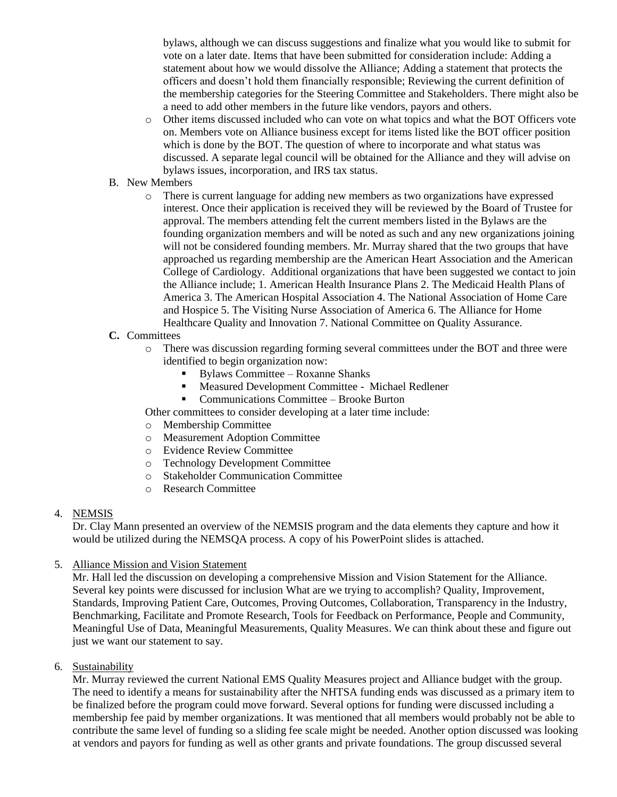bylaws, although we can discuss suggestions and finalize what you would like to submit for vote on a later date. Items that have been submitted for consideration include: Adding a statement about how we would dissolve the Alliance; Adding a statement that protects the officers and doesn't hold them financially responsible; Reviewing the current definition of the membership categories for the Steering Committee and Stakeholders. There might also be a need to add other members in the future like vendors, payors and others.

- o Other items discussed included who can vote on what topics and what the BOT Officers vote on. Members vote on Alliance business except for items listed like the BOT officer position which is done by the BOT. The question of where to incorporate and what status was discussed. A separate legal council will be obtained for the Alliance and they will advise on bylaws issues, incorporation, and IRS tax status.
- B. New Members
	- o There is current language for adding new members as two organizations have expressed interest. Once their application is received they will be reviewed by the Board of Trustee for approval. The members attending felt the current members listed in the Bylaws are the founding organization members and will be noted as such and any new organizations joining will not be considered founding members. Mr. Murray shared that the two groups that have approached us regarding membership are the American Heart Association and the American College of Cardiology. Additional organizations that have been suggested we contact to join the Alliance include; 1. American Health Insurance Plans 2. The Medicaid Health Plans of America 3. The American Hospital Association 4. The National Association of Home Care and Hospice 5. The Visiting Nurse Association of America 6. The Alliance for Home Healthcare Quality and Innovation 7. National Committee on Quality Assurance.
- **C.** Committees
	- o There was discussion regarding forming several committees under the BOT and three were identified to begin organization now:
		- Bylaws Committee Roxanne Shanks
		- Measured Development Committee Michael Redlener
		- Communications Committee Brooke Burton
	- Other committees to consider developing at a later time include:
	- o Membership Committee
	- o Measurement Adoption Committee
	- o Evidence Review Committee
	- o Technology Development Committee
	- o Stakeholder Communication Committee
	- o Research Committee

# 4. NEMSIS

Dr. Clay Mann presented an overview of the NEMSIS program and the data elements they capture and how it would be utilized during the NEMSQA process. A copy of his PowerPoint slides is attached.

5. Alliance Mission and Vision Statement

Mr. Hall led the discussion on developing a comprehensive Mission and Vision Statement for the Alliance. Several key points were discussed for inclusion What are we trying to accomplish? Quality, Improvement, Standards, Improving Patient Care, Outcomes, Proving Outcomes, Collaboration, Transparency in the Industry, Benchmarking, Facilitate and Promote Research, Tools for Feedback on Performance, People and Community, Meaningful Use of Data, Meaningful Measurements, Quality Measures. We can think about these and figure out just we want our statement to say.

6. Sustainability

Mr. Murray reviewed the current National EMS Quality Measures project and Alliance budget with the group. The need to identify a means for sustainability after the NHTSA funding ends was discussed as a primary item to be finalized before the program could move forward. Several options for funding were discussed including a membership fee paid by member organizations. It was mentioned that all members would probably not be able to contribute the same level of funding so a sliding fee scale might be needed. Another option discussed was looking at vendors and payors for funding as well as other grants and private foundations. The group discussed several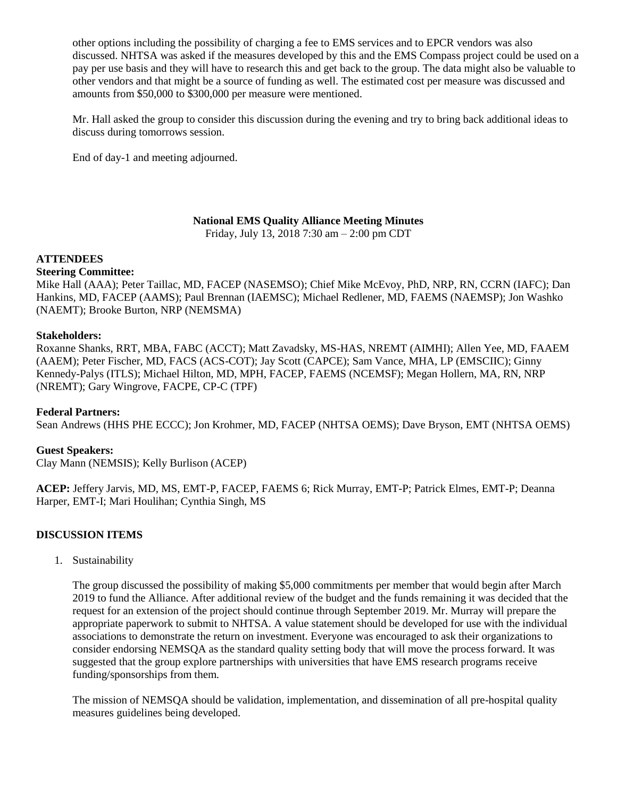other options including the possibility of charging a fee to EMS services and to EPCR vendors was also discussed. NHTSA was asked if the measures developed by this and the EMS Compass project could be used on a pay per use basis and they will have to research this and get back to the group. The data might also be valuable to other vendors and that might be a source of funding as well. The estimated cost per measure was discussed and amounts from \$50,000 to \$300,000 per measure were mentioned.

Mr. Hall asked the group to consider this discussion during the evening and try to bring back additional ideas to discuss during tomorrows session.

End of day-1 and meeting adjourned.

**National EMS Quality Alliance Meeting Minutes**

Friday, July 13, 2018 7:30 am – 2:00 pm CDT

### **ATTENDEES**

#### **Steering Committee:**

Mike Hall (AAA); Peter Taillac, MD, FACEP (NASEMSO); Chief Mike McEvoy, PhD, NRP, RN, CCRN (IAFC); Dan Hankins, MD, FACEP (AAMS); Paul Brennan (IAEMSC); Michael Redlener, MD, FAEMS (NAEMSP); Jon Washko (NAEMT); Brooke Burton, NRP (NEMSMA)

#### **Stakeholders:**

Roxanne Shanks, RRT, MBA, FABC (ACCT); Matt Zavadsky, MS-HAS, NREMT (AIMHI); Allen Yee, MD, FAAEM (AAEM); Peter Fischer, MD, FACS (ACS-COT); Jay Scott (CAPCE); Sam Vance, MHA, LP (EMSCIIC); Ginny Kennedy-Palys (ITLS); Michael Hilton, MD, MPH, FACEP, FAEMS (NCEMSF); Megan Hollern, MA, RN, NRP (NREMT); Gary Wingrove, FACPE, CP-C (TPF)

### **Federal Partners:**

Sean Andrews (HHS PHE ECCC); Jon Krohmer, MD, FACEP (NHTSA OEMS); Dave Bryson, EMT (NHTSA OEMS)

#### **Guest Speakers:**

Clay Mann (NEMSIS); Kelly Burlison (ACEP)

**ACEP:** Jeffery Jarvis, MD, MS, EMT-P, FACEP, FAEMS 6; Rick Murray, EMT-P; Patrick Elmes, EMT-P; Deanna Harper, EMT-I; Mari Houlihan; Cynthia Singh, MS

### **DISCUSSION ITEMS**

1. Sustainability

The group discussed the possibility of making \$5,000 commitments per member that would begin after March 2019 to fund the Alliance. After additional review of the budget and the funds remaining it was decided that the request for an extension of the project should continue through September 2019. Mr. Murray will prepare the appropriate paperwork to submit to NHTSA. A value statement should be developed for use with the individual associations to demonstrate the return on investment. Everyone was encouraged to ask their organizations to consider endorsing NEMSQA as the standard quality setting body that will move the process forward. It was suggested that the group explore partnerships with universities that have EMS research programs receive funding/sponsorships from them.

The mission of NEMSQA should be validation, implementation, and dissemination of all pre-hospital quality measures guidelines being developed.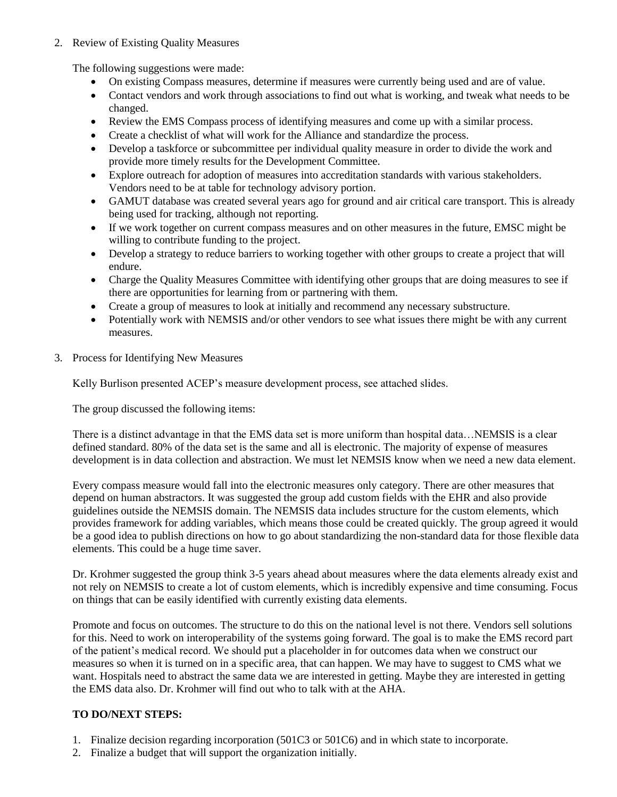## 2. Review of Existing Quality Measures

The following suggestions were made:

- On existing Compass measures, determine if measures were currently being used and are of value.
- Contact vendors and work through associations to find out what is working, and tweak what needs to be changed.
- Review the EMS Compass process of identifying measures and come up with a similar process.
- Create a checklist of what will work for the Alliance and standardize the process.
- Develop a taskforce or subcommittee per individual quality measure in order to divide the work and provide more timely results for the Development Committee.
- Explore outreach for adoption of measures into accreditation standards with various stakeholders. Vendors need to be at table for technology advisory portion.
- GAMUT database was created several years ago for ground and air critical care transport. This is already being used for tracking, although not reporting.
- If we work together on current compass measures and on other measures in the future, EMSC might be willing to contribute funding to the project.
- Develop a strategy to reduce barriers to working together with other groups to create a project that will endure.
- Charge the Quality Measures Committee with identifying other groups that are doing measures to see if there are opportunities for learning from or partnering with them.
- Create a group of measures to look at initially and recommend any necessary substructure.
- Potentially work with NEMSIS and/or other vendors to see what issues there might be with any current measures.
- 3. Process for Identifying New Measures

Kelly Burlison presented ACEP's measure development process, see attached slides.

The group discussed the following items:

There is a distinct advantage in that the EMS data set is more uniform than hospital data...NEMSIS is a clear defined standard. 80% of the data set is the same and all is electronic. The majority of expense of measures development is in data collection and abstraction. We must let NEMSIS know when we need a new data element.

Every compass measure would fall into the electronic measures only category. There are other measures that depend on human abstractors. It was suggested the group add custom fields with the EHR and also provide guidelines outside the NEMSIS domain. The NEMSIS data includes structure for the custom elements, which provides framework for adding variables, which means those could be created quickly. The group agreed it would be a good idea to publish directions on how to go about standardizing the non-standard data for those flexible data elements. This could be a huge time saver.

Dr. Krohmer suggested the group think 3-5 years ahead about measures where the data elements already exist and not rely on NEMSIS to create a lot of custom elements, which is incredibly expensive and time consuming. Focus on things that can be easily identified with currently existing data elements.

Promote and focus on outcomes. The structure to do this on the national level is not there. Vendors sell solutions for this. Need to work on interoperability of the systems going forward. The goal is to make the EMS record part of the patient's medical record. We should put a placeholder in for outcomes data when we construct our measures so when it is turned on in a specific area, that can happen. We may have to suggest to CMS what we want. Hospitals need to abstract the same data we are interested in getting. Maybe they are interested in getting the EMS data also. Dr. Krohmer will find out who to talk with at the AHA.

# **TO DO/NEXT STEPS:**

- 1. Finalize decision regarding incorporation (501C3 or 501C6) and in which state to incorporate.
- 2. Finalize a budget that will support the organization initially.